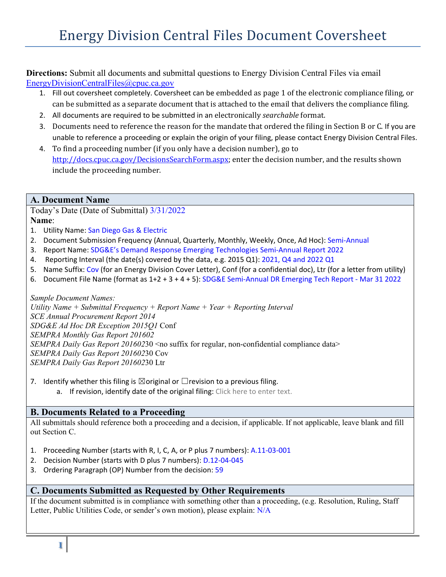**Directions:** Submit all documents and submittal questions to Energy Division Central Files via email [EnergyDivisionCentralFiles@cpuc.ca.gov](mailto:EnergyDivisionCentralFiles@cpuc.ca.gov)

- 1. Fill out coversheet completely. Coversheet can be embedded as page 1 of the electronic compliance filing, or can be submitted as a separate document that is attached to the email that delivers the compliance filing.
- 2. All documents are required to be submitted in an electronically *searchable* format.
- 3. Documents need to reference the reason for the mandate that ordered the filing in Section B or C. If you are unable to reference a proceeding or explain the origin of your filing, please contact Energy Division Central Files.
- 4. To find a proceeding number (if you only have a decision number), go to [http://docs.cpuc.ca.gov/DecisionsSearchForm.aspx;](http://docs.cpuc.ca.gov/DecisionsSearchForm.aspx) enter the decision number, and the results shown include the proceeding number.

#### **A. Document Name**

Today's Date (Date of Submittal) 3/31/2022 **Name**:

- 1. Utility Name: San Diego Gas & Electric
- 2. Document Submission Frequency (Annual, Quarterly, Monthly, Weekly, Once, Ad Hoc): Semi-Annual
- 3. Report Name: SDG&E's Demand Response Emerging Technologies Semi-Annual Report 2022
- 4. Reporting Interval (the date(s) covered by the data, e.g. 2015 Q1): 2021, Q4 and 2022 Q1
- 5. Name Suffix: Cov (for an Energy Division Cover Letter), Conf (for a confidential doc), Ltr (for a letter from utility)
- 6. Document File Name (format as 1+2 + 3 + 4 + 5): SDG&E Semi-Annual DR Emerging Tech Report Mar 31 2022

*Sample Document Names:* 

*Utility Name + Submittal Frequency + Report Name + Year + Reporting Interval SCE Annual Procurement Report 2014 SDG&E Ad Hoc DR Exception 2015Q1* Conf *SEMPRA Monthly Gas Report 201602 SEMPRA Daily Gas Report 201602*30 <no suffix for regular, non-confidential compliance data> *SEMPRA Daily Gas Report 201602*30 Cov *SEMPRA Daily Gas Report 201602*30 Ltr

7. Identify whether this filing is  $\boxtimes$  original or  $\Box$  revision to a previous filing.

a. If revision, identify date of the original filing: Click here to enter text.

#### **B. Documents Related to a Proceeding**

All submittals should reference both a proceeding and a decision, if applicable. If not applicable, leave blank and fill out Section C.

- 1. Proceeding Number (starts with R, I, C, A, or P plus 7 numbers): A.11-03-001
- 2. Decision Number (starts with D plus 7 numbers): D.12-04-045
- 3. Ordering Paragraph (OP) Number from the decision: 59

#### **C. Documents Submitted as Requested by Other Requirements**

If the document submitted is in compliance with something other than a proceeding, (e.g. Resolution, Ruling, Staff Letter, Public Utilities Code, or sender's own motion), please explain: N/A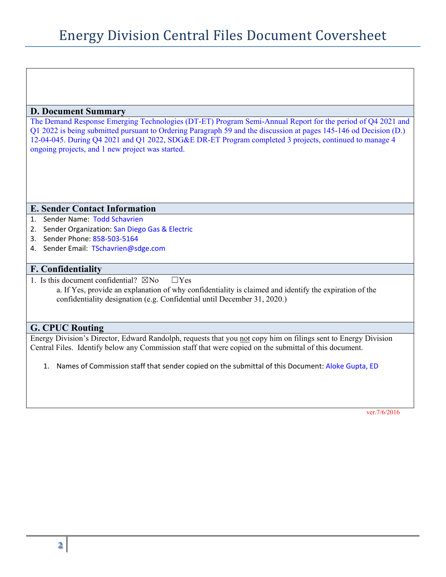#### **D. Document Summary**

The Demand Response Emerging Technologies (DT-ET) Program Semi-Annual Report for the period of Q4 2021 and Q1 2022 is being submitted pursuant to Ordering Paragraph 59 and the discussion at pages 145-146 od Decision (D.) 12-04-045. During Q4 2021 and Q1 2022, SDG&E DR-ET Program completed 3 projects, continued to manage 4 ongoing projects, and 1 new project was started.

#### **E. Sender Contact Information**

- 1. Sender Name: Todd Schavrien
- 2. Sender Organization: San Diego Gas & Electric
- 3. Sender Phone: 858-503-5164
- 4. Sender Email: TSchavrien@sdge.com

#### **F. Confidentiality**

1. Is this document confidential?  $\boxtimes$ No  $\Box$ Yes

a. If Yes, provide an explanation of why confidentiality is claimed and identify the expiration of the confidentiality designation (e.g. Confidential until December 31, 2020.)

#### **G. CPUC Routing**

Energy Division's Director, Edward Randolph, requests that you not copy him on filings sent to Energy Division Central Files. Identify below any Commission staff that were copied on the submittal of this document.

1. Names of Commission staff that sender copied on the submittal of this Document: Aloke Gupta, ED

ver.7/6/2016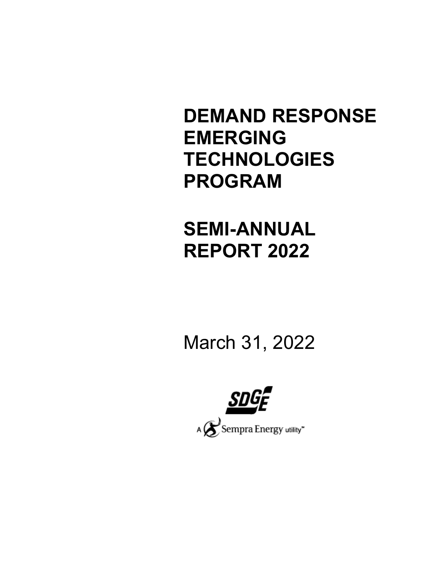# **DEMAND RESPONSE EMERGING TECHNOLOGIES PROGRAM**

# **SEMI-ANNUAL REPORT 2022**

March 31, 2022

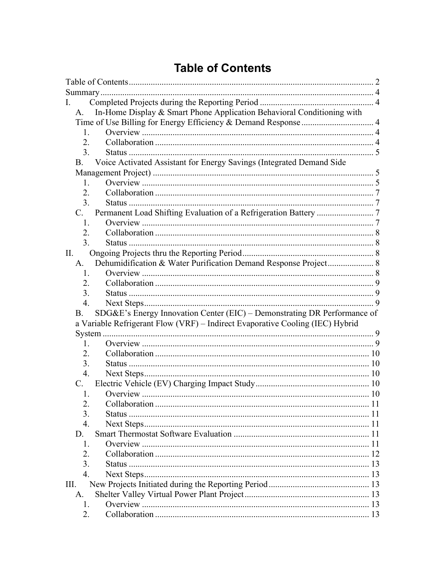# **Table of Contents**

<span id="page-3-0"></span>

| Ι.  |                  |                                                                               |  |  |  |  |
|-----|------------------|-------------------------------------------------------------------------------|--|--|--|--|
|     | A.               | In-Home Display & Smart Phone Application Behavioral Conditioning with        |  |  |  |  |
|     |                  |                                                                               |  |  |  |  |
|     | 1.               |                                                                               |  |  |  |  |
|     | 2.               |                                                                               |  |  |  |  |
|     | 3.               |                                                                               |  |  |  |  |
|     | <b>B.</b>        | Voice Activated Assistant for Energy Savings (Integrated Demand Side          |  |  |  |  |
|     |                  |                                                                               |  |  |  |  |
|     | 1.               |                                                                               |  |  |  |  |
|     | 2.               |                                                                               |  |  |  |  |
|     | 3.               |                                                                               |  |  |  |  |
|     | C.               |                                                                               |  |  |  |  |
|     | 1.               |                                                                               |  |  |  |  |
|     | 2.               |                                                                               |  |  |  |  |
|     | 3.               |                                                                               |  |  |  |  |
| II. |                  |                                                                               |  |  |  |  |
|     | A.               | Dehumidification & Water Purification Demand Response Project 8               |  |  |  |  |
|     | 1.               |                                                                               |  |  |  |  |
|     | 2.               |                                                                               |  |  |  |  |
|     | 3.               |                                                                               |  |  |  |  |
|     | $\overline{4}$ . |                                                                               |  |  |  |  |
|     | B.               | SDG&E's Energy Innovation Center (EIC) - Demonstrating DR Performance of      |  |  |  |  |
|     |                  | a Variable Refrigerant Flow (VRF) - Indirect Evaporative Cooling (IEC) Hybrid |  |  |  |  |
|     |                  |                                                                               |  |  |  |  |
|     | 1.               |                                                                               |  |  |  |  |
|     | 2.               |                                                                               |  |  |  |  |
|     | 3.               |                                                                               |  |  |  |  |
|     | 4.               |                                                                               |  |  |  |  |
|     | C.               |                                                                               |  |  |  |  |
|     | 1.               |                                                                               |  |  |  |  |
|     | 2.               |                                                                               |  |  |  |  |
|     | 3.               |                                                                               |  |  |  |  |
|     | $\overline{4}$ . |                                                                               |  |  |  |  |
|     | D.               |                                                                               |  |  |  |  |
|     | 1.               |                                                                               |  |  |  |  |
|     | 2.               |                                                                               |  |  |  |  |
|     | 3.               |                                                                               |  |  |  |  |
|     | $\overline{4}$ . |                                                                               |  |  |  |  |
| Ш.  |                  |                                                                               |  |  |  |  |
|     | A.               |                                                                               |  |  |  |  |
|     | 1.               |                                                                               |  |  |  |  |
|     | 2.               |                                                                               |  |  |  |  |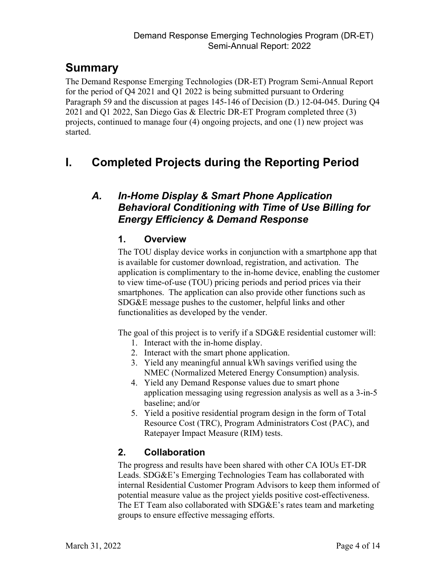# <span id="page-5-0"></span>**Summary**

The Demand Response Emerging Technologies (DR-ET) Program Semi-Annual Report for the period of Q4 2021 and Q1 2022 is being submitted pursuant to Ordering Paragraph 59 and the discussion at pages 145-146 of Decision (D.) 12-04-045. During Q4 2021 and Q1 2022, San Diego Gas & Electric DR-ET Program completed three (3) projects, continued to manage four (4) ongoing projects, and one (1) new project was started.

# <span id="page-5-2"></span><span id="page-5-1"></span>**I. Completed Projects during the Reporting Period**

# <span id="page-5-3"></span>*A. In-Home Display & Smart Phone Application Behavioral Conditioning with Time of Use Billing for Energy Efficiency & Demand Response*

# **1. Overview**

The TOU display device works in conjunction with a smartphone app that is available for customer download, registration, and activation. The application is complimentary to the in-home device, enabling the customer to view time-of-use (TOU) pricing periods and period prices via their smartphones. The application can also provide other functions such as SDG&E message pushes to the customer, helpful links and other functionalities as developed by the vender.

The goal of this project is to verify if a SDG&E residential customer will:

- 1. Interact with the in-home display.
- 2. Interact with the smart phone application.
- 3. Yield any meaningful annual kWh savings verified using the NMEC (Normalized Metered Energy Consumption) analysis.
- 4. Yield any Demand Response values due to smart phone application messaging using regression analysis as well as a 3-in-5 baseline; and/or
- 5. Yield a positive residential program design in the form of Total Resource Cost (TRC), Program Administrators Cost (PAC), and Ratepayer Impact Measure (RIM) tests.

# <span id="page-5-4"></span>**2. Collaboration**

The progress and results have been shared with other CA IOUs ET-DR Leads. SDG&E's Emerging Technologies Team has collaborated with internal Residential Customer Program Advisors to keep them informed of potential measure value as the project yields positive cost-effectiveness. The ET Team also collaborated with SDG&E's rates team and marketing groups to ensure effective messaging efforts.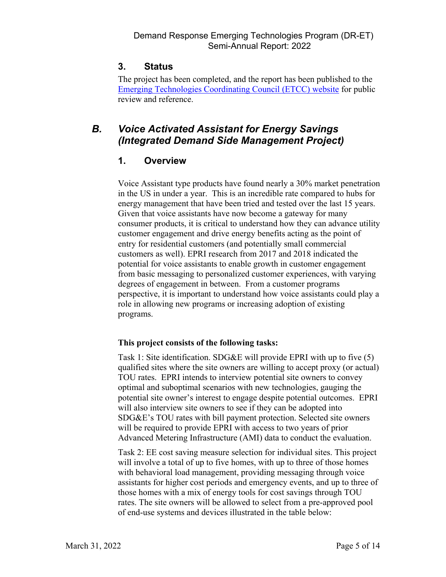### <span id="page-6-0"></span>**3. Status**

The project has been completed, and the report has been published to the [Emerging Technologies Coordinating Council \(ETCC\) website](https://www.etcc-ca.com/reports/time-use-tou-energy-display) for public review and reference.

# <span id="page-6-2"></span><span id="page-6-1"></span>*B. Voice Activated Assistant for Energy Savings (Integrated Demand Side Management Project)*

#### **1. Overview**

Voice Assistant type products have found nearly a 30% market penetration in the US in under a year. This is an incredible rate compared to hubs for energy management that have been tried and tested over the last 15 years. Given that voice assistants have now become a gateway for many consumer products, it is critical to understand how they can advance utility customer engagement and drive energy benefits acting as the point of entry for residential customers (and potentially small commercial customers as well). EPRI research from 2017 and 2018 indicated the potential for voice assistants to enable growth in customer engagement from basic messaging to personalized customer experiences, with varying degrees of engagement in between. From a customer programs perspective, it is important to understand how voice assistants could play a role in allowing new programs or increasing adoption of existing programs.

#### **This project consists of the following tasks:**

Task 1: Site identification. SDG&E will provide EPRI with up to five (5) qualified sites where the site owners are willing to accept proxy (or actual) TOU rates. EPRI intends to interview potential site owners to convey optimal and suboptimal scenarios with new technologies, gauging the potential site owner's interest to engage despite potential outcomes. EPRI will also interview site owners to see if they can be adopted into SDG&E's TOU rates with bill payment protection. Selected site owners will be required to provide EPRI with access to two years of prior Advanced Metering Infrastructure (AMI) data to conduct the evaluation.

Task 2: EE cost saving measure selection for individual sites. This project will involve a total of up to five homes, with up to three of those homes with behavioral load management, providing messaging through voice assistants for higher cost periods and emergency events, and up to three of those homes with a mix of energy tools for cost savings through TOU rates. The site owners will be allowed to select from a pre-approved pool of end-use systems and devices illustrated in the table below: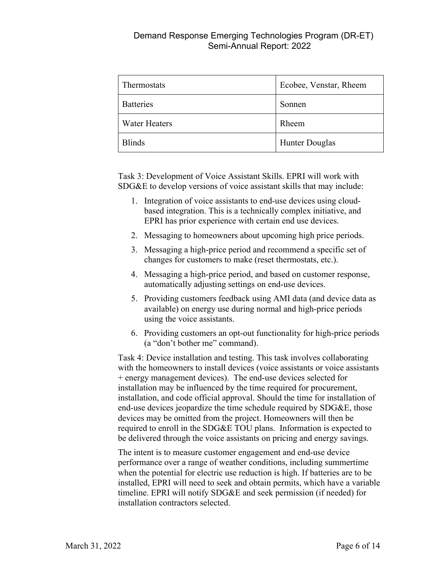| Thermostats          | Ecobee, Venstar, Rheem |  |  |
|----------------------|------------------------|--|--|
| <b>Batteries</b>     | Sonnen                 |  |  |
| <b>Water Heaters</b> | Rheem                  |  |  |
| <b>Blinds</b>        | <b>Hunter Douglas</b>  |  |  |

Task 3: Development of Voice Assistant Skills. EPRI will work with SDG&E to develop versions of voice assistant skills that may include:

- 1. Integration of voice assistants to end-use devices using cloudbased integration. This is a technically complex initiative, and EPRI has prior experience with certain end use devices.
- 2. Messaging to homeowners about upcoming high price periods.
- 3. Messaging a high-price period and recommend a specific set of changes for customers to make (reset thermostats, etc.).
- 4. Messaging a high-price period, and based on customer response, automatically adjusting settings on end-use devices.
- 5. Providing customers feedback using AMI data (and device data as available) on energy use during normal and high-price periods using the voice assistants.
- 6. Providing customers an opt-out functionality for high-price periods (a "don't bother me" command).

Task 4: Device installation and testing. This task involves collaborating with the homeowners to install devices (voice assistants or voice assistants + energy management devices). The end-use devices selected for installation may be influenced by the time required for procurement, installation, and code official approval. Should the time for installation of end-use devices jeopardize the time schedule required by SDG&E, those devices may be omitted from the project. Homeowners will then be required to enroll in the SDG&E TOU plans. Information is expected to be delivered through the voice assistants on pricing and energy savings.

The intent is to measure customer engagement and end-use device performance over a range of weather conditions, including summertime when the potential for electric use reduction is high. If batteries are to be installed, EPRI will need to seek and obtain permits, which have a variable timeline. EPRI will notify SDG&E and seek permission (if needed) for installation contractors selected.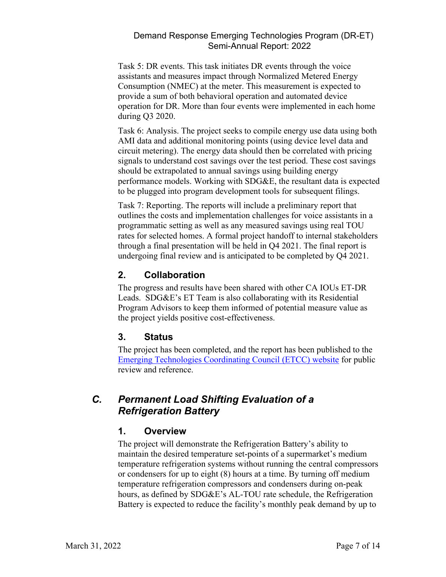Task 5: DR events. This task initiates DR events through the voice assistants and measures impact through Normalized Metered Energy Consumption (NMEC) at the meter. This measurement is expected to provide a sum of both behavioral operation and automated device operation for DR. More than four events were implemented in each home during Q3 2020.

Task 6: Analysis. The project seeks to compile energy use data using both AMI data and additional monitoring points (using device level data and circuit metering). The energy data should then be correlated with pricing signals to understand cost savings over the test period. These cost savings should be extrapolated to annual savings using building energy performance models. Working with SDG&E, the resultant data is expected to be plugged into program development tools for subsequent filings.

Task 7: Reporting. The reports will include a preliminary report that outlines the costs and implementation challenges for voice assistants in a programmatic setting as well as any measured savings using real TOU rates for selected homes. A formal project handoff to internal stakeholders through a final presentation will be held in Q4 2021. The final report is undergoing final review and is anticipated to be completed by Q4 2021.

#### <span id="page-8-0"></span>**2. Collaboration**

The progress and results have been shared with other CA IOUs ET-DR Leads. SDG&E's ET Team is also collaborating with its Residential Program Advisors to keep them informed of potential measure value as the project yields positive cost-effectiveness.

#### <span id="page-8-1"></span>**3. Status**

The project has been completed, and the report has been published to the [Emerging Technologies Coordinating Council \(ETCC\) website](https://www.etcc-ca.com/reports/voice-assistants-customer-engagement-and-customer-programs) for public review and reference.

# <span id="page-8-3"></span><span id="page-8-2"></span>*C. Permanent Load Shifting Evaluation of a Refrigeration Battery*

#### **1. Overview**

The project will demonstrate the Refrigeration Battery's ability to maintain the desired temperature set-points of a supermarket's medium temperature refrigeration systems without running the central compressors or condensers for up to eight (8) hours at a time. By turning off medium temperature refrigeration compressors and condensers during on-peak hours, as defined by SDG&E's AL-TOU rate schedule, the Refrigeration Battery is expected to reduce the facility's monthly peak demand by up to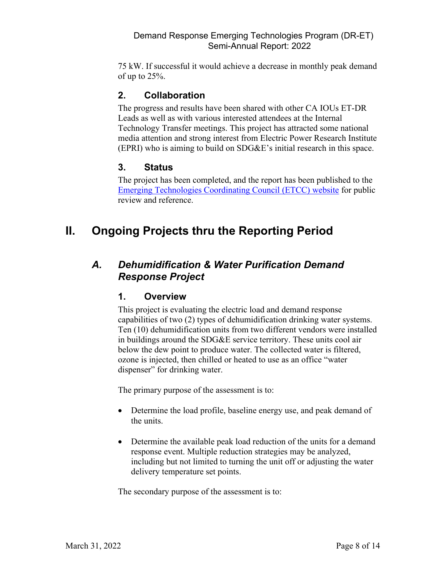75 kW. If successful it would achieve a decrease in monthly peak demand of up to 25%.

### <span id="page-9-0"></span>**2. Collaboration**

The progress and results have been shared with other CA IOUs ET-DR Leads as well as with various interested attendees at the Internal Technology Transfer meetings. This project has attracted some national media attention and strong interest from Electric Power Research Institute (EPRI) who is aiming to build on SDG&E's initial research in this space.

### <span id="page-9-1"></span>**3. Status**

The project has been completed, and the report has been published to the [Emerging Technologies Coordinating Council \(ETCC\) website](https://www.etcc-ca.com/reports/grocery-store-thermal-energy-storage-retrofit-study) for public review and reference.

# <span id="page-9-2"></span>**II. Ongoing Projects thru the Reporting Period**

# <span id="page-9-4"></span><span id="page-9-3"></span>*A. Dehumidification & Water Purification Demand Response Project*

#### **1. Overview**

This project is evaluating the electric load and demand response capabilities of two (2) types of dehumidification drinking water systems. Ten (10) dehumidification units from two different vendors were installed in buildings around the SDG&E service territory. These units cool air below the dew point to produce water. The collected water is filtered, ozone is injected, then chilled or heated to use as an office "water dispenser" for drinking water.

The primary purpose of the assessment is to:

- Determine the load profile, baseline energy use, and peak demand of the units.
- Determine the available peak load reduction of the units for a demand response event. Multiple reduction strategies may be analyzed, including but not limited to turning the unit off or adjusting the water delivery temperature set points.

The secondary purpose of the assessment is to: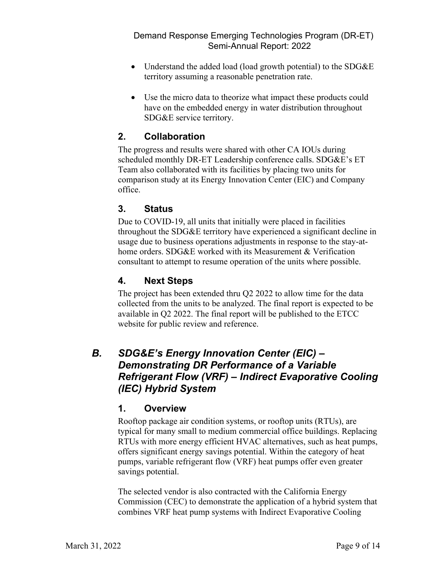- Understand the added load (load growth potential) to the SDG&E territory assuming a reasonable penetration rate.
- Use the micro data to theorize what impact these products could have on the embedded energy in water distribution throughout SDG&E service territory.

### <span id="page-10-0"></span>**2. Collaboration**

The progress and results were shared with other CA IOUs during scheduled monthly DR-ET Leadership conference calls. SDG&E's ET Team also collaborated with its facilities by placing two units for comparison study at its Energy Innovation Center (EIC) and Company office.

#### <span id="page-10-1"></span>**3. Status**

Due to COVID-19, all units that initially were placed in facilities throughout the SDG&E territory have experienced a significant decline in usage due to business operations adjustments in response to the stay-athome orders. SDG&E worked with its Measurement & Verification consultant to attempt to resume operation of the units where possible.

#### <span id="page-10-2"></span>**4. Next Steps**

The project has been extended thru Q2 2022 to allow time for the data collected from the units to be analyzed. The final report is expected to be available in Q2 2022. The final report will be published to the ETCC website for public review and reference.

# <span id="page-10-3"></span>*B. SDG&E's Energy Innovation Center (EIC) – Demonstrating DR Performance of a Variable Refrigerant Flow (VRF) – Indirect Evaporative Cooling (IEC) Hybrid System*

#### <span id="page-10-4"></span>**1. Overview**

Rooftop package air condition systems, or rooftop units (RTUs), are typical for many small to medium commercial office buildings. Replacing RTUs with more energy efficient HVAC alternatives, such as heat pumps, offers significant energy savings potential. Within the category of heat pumps, variable refrigerant flow (VRF) heat pumps offer even greater savings potential.

The selected vendor is also contracted with the California Energy Commission (CEC) to demonstrate the application of a hybrid system that combines VRF heat pump systems with Indirect Evaporative Cooling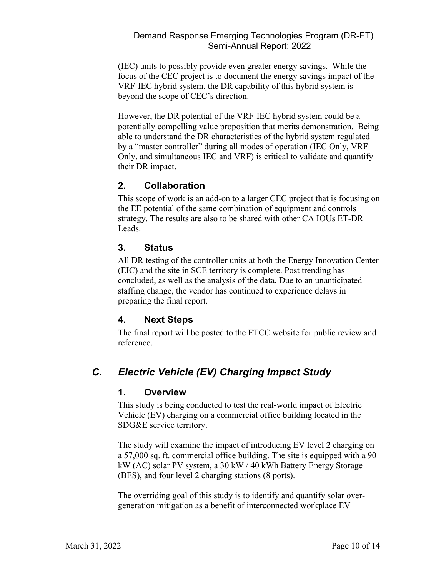(IEC) units to possibly provide even greater energy savings. While the focus of the CEC project is to document the energy savings impact of the VRF-IEC hybrid system, the DR capability of this hybrid system is beyond the scope of CEC's direction.

However, the DR potential of the VRF-IEC hybrid system could be a potentially compelling value proposition that merits demonstration. Being able to understand the DR characteristics of the hybrid system regulated by a "master controller" during all modes of operation (IEC Only, VRF Only, and simultaneous IEC and VRF) is critical to validate and quantify their DR impact.

### <span id="page-11-0"></span>**2. Collaboration**

This scope of work is an add-on to a larger CEC project that is focusing on the EE potential of the same combination of equipment and controls strategy. The results are also to be shared with other CA IOUs ET-DR Leads.

#### <span id="page-11-1"></span>**3. Status**

All DR testing of the controller units at both the Energy Innovation Center (EIC) and the site in SCE territory is complete. Post trending has concluded, as well as the analysis of the data. Due to an unanticipated staffing change, the vendor has continued to experience delays in preparing the final report.

#### <span id="page-11-2"></span>**4. Next Steps**

The final report will be posted to the ETCC website for public review and reference.

# <span id="page-11-4"></span><span id="page-11-3"></span>*C. Electric Vehicle (EV) Charging Impact Study*

#### **1. Overview**

This study is being conducted to test the real-world impact of Electric Vehicle (EV) charging on a commercial office building located in the SDG&E service territory.

The study will examine the impact of introducing EV level 2 charging on a 57,000 sq. ft. commercial office building. The site is equipped with a 90 kW (AC) solar PV system, a 30 kW / 40 kWh Battery Energy Storage (BES), and four level 2 charging stations (8 ports).

The overriding goal of this study is to identify and quantify solar overgeneration mitigation as a benefit of interconnected workplace EV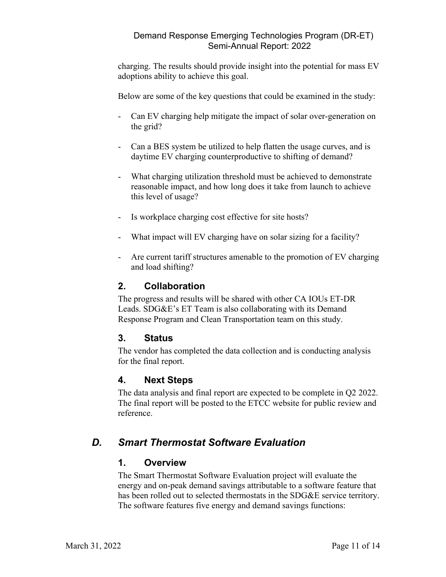charging. The results should provide insight into the potential for mass EV adoptions ability to achieve this goal.

Below are some of the key questions that could be examined in the study:

- Can EV charging help mitigate the impact of solar over-generation on the grid?
- Can a BES system be utilized to help flatten the usage curves, and is daytime EV charging counterproductive to shifting of demand?
- What charging utilization threshold must be achieved to demonstrate reasonable impact, and how long does it take from launch to achieve this level of usage?
- Is workplace charging cost effective for site hosts?
- What impact will EV charging have on solar sizing for a facility?
- Are current tariff structures amenable to the promotion of EV charging and load shifting?

#### <span id="page-12-0"></span>**2. Collaboration**

The progress and results will be shared with other CA IOUs ET-DR Leads. SDG&E's ET Team is also collaborating with its Demand Response Program and Clean Transportation team on this study.

#### <span id="page-12-1"></span>**3. Status**

The vendor has completed the data collection and is conducting analysis for the final report.

#### <span id="page-12-2"></span>**4. Next Steps**

The data analysis and final report are expected to be complete in Q2 2022. The final report will be posted to the ETCC website for public review and reference.

# <span id="page-12-4"></span><span id="page-12-3"></span>*D. Smart Thermostat Software Evaluation*

#### **1. Overview**

The Smart Thermostat Software Evaluation project will evaluate the energy and on-peak demand savings attributable to a software feature that has been rolled out to selected thermostats in the SDG&E service territory. The software features five energy and demand savings functions: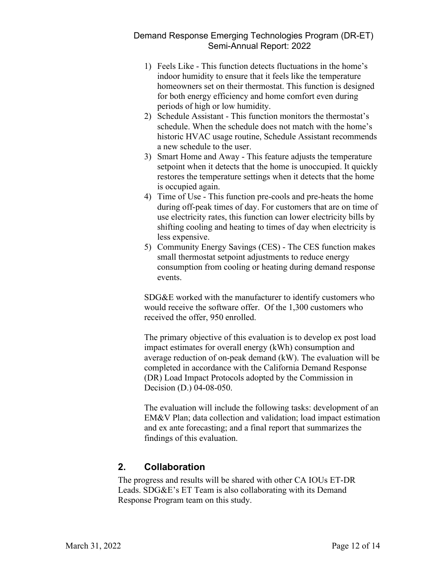- 1) Feels Like This function detects fluctuations in the home's indoor humidity to ensure that it feels like the temperature homeowners set on their thermostat. This function is designed for both energy efficiency and home comfort even during periods of high or low humidity.
- 2) Schedule Assistant This function monitors the thermostat's schedule. When the schedule does not match with the home's historic HVAC usage routine, Schedule Assistant recommends a new schedule to the user.
- 3) Smart Home and Away This feature adjusts the temperature setpoint when it detects that the home is unoccupied. It quickly restores the temperature settings when it detects that the home is occupied again.
- 4) Time of Use This function pre-cools and pre-heats the home during off-peak times of day. For customers that are on time of use electricity rates, this function can lower electricity bills by shifting cooling and heating to times of day when electricity is less expensive.
- 5) Community Energy Savings (CES) The CES function makes small thermostat setpoint adjustments to reduce energy consumption from cooling or heating during demand response events.

SDG&E worked with the manufacturer to identify customers who would receive the software offer. Of the 1,300 customers who received the offer, 950 enrolled.

The primary objective of this evaluation is to develop ex post load impact estimates for overall energy (kWh) consumption and average reduction of on-peak demand (kW). The evaluation will be completed in accordance with the California Demand Response (DR) Load Impact Protocols adopted by the Commission in Decision (D.) 04-08-050.

The evaluation will include the following tasks: development of an EM&V Plan; data collection and validation; load impact estimation and ex ante forecasting; and a final report that summarizes the findings of this evaluation.

# <span id="page-13-0"></span>**2. Collaboration**

The progress and results will be shared with other CA IOUs ET-DR Leads. SDG&E's ET Team is also collaborating with its Demand Response Program team on this study.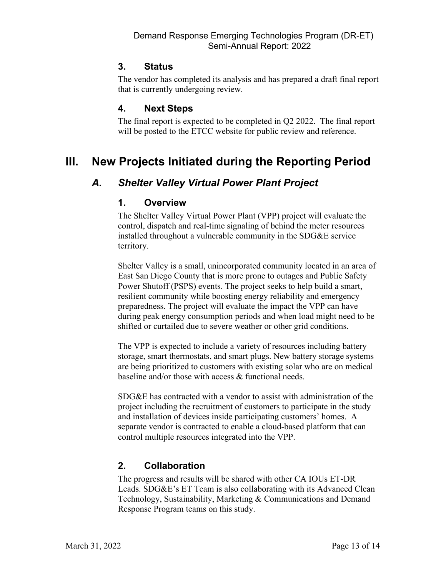#### <span id="page-14-0"></span>**3. Status**

The vendor has completed its analysis and has prepared a draft final report that is currently undergoing review.

#### <span id="page-14-1"></span>**4. Next Steps**

The final report is expected to be completed in Q2 2022. The final report will be posted to the ETCC website for public review and reference.

# <span id="page-14-3"></span><span id="page-14-2"></span>**III. New Projects Initiated during the Reporting Period**

# <span id="page-14-4"></span>*A. Shelter Valley Virtual Power Plant Project*

#### **1. Overview**

The Shelter Valley Virtual Power Plant (VPP) project will evaluate the control, dispatch and real-time signaling of behind the meter resources installed throughout a vulnerable community in the SDG&E service territory.

Shelter Valley is a small, unincorporated community located in an area of East San Diego County that is more prone to outages and Public Safety Power Shutoff (PSPS) events. The project seeks to help build a smart, resilient community while boosting energy reliability and emergency preparedness. The project will evaluate the impact the VPP can have during peak energy consumption periods and when load might need to be shifted or curtailed due to severe weather or other grid conditions.

The VPP is expected to include a variety of resources including battery storage, smart thermostats, and smart plugs. New battery storage systems are being prioritized to customers with existing solar who are on medical baseline and/or those with access & functional needs.

SDG&E has contracted with a vendor to assist with administration of the project including the recruitment of customers to participate in the study and installation of devices inside participating customers' homes. A separate vendor is contracted to enable a cloud-based platform that can control multiple resources integrated into the VPP.

# <span id="page-14-5"></span>**2. Collaboration**

The progress and results will be shared with other CA IOUs ET-DR Leads. SDG&E's ET Team is also collaborating with its Advanced Clean Technology, Sustainability, Marketing & Communications and Demand Response Program teams on this study.